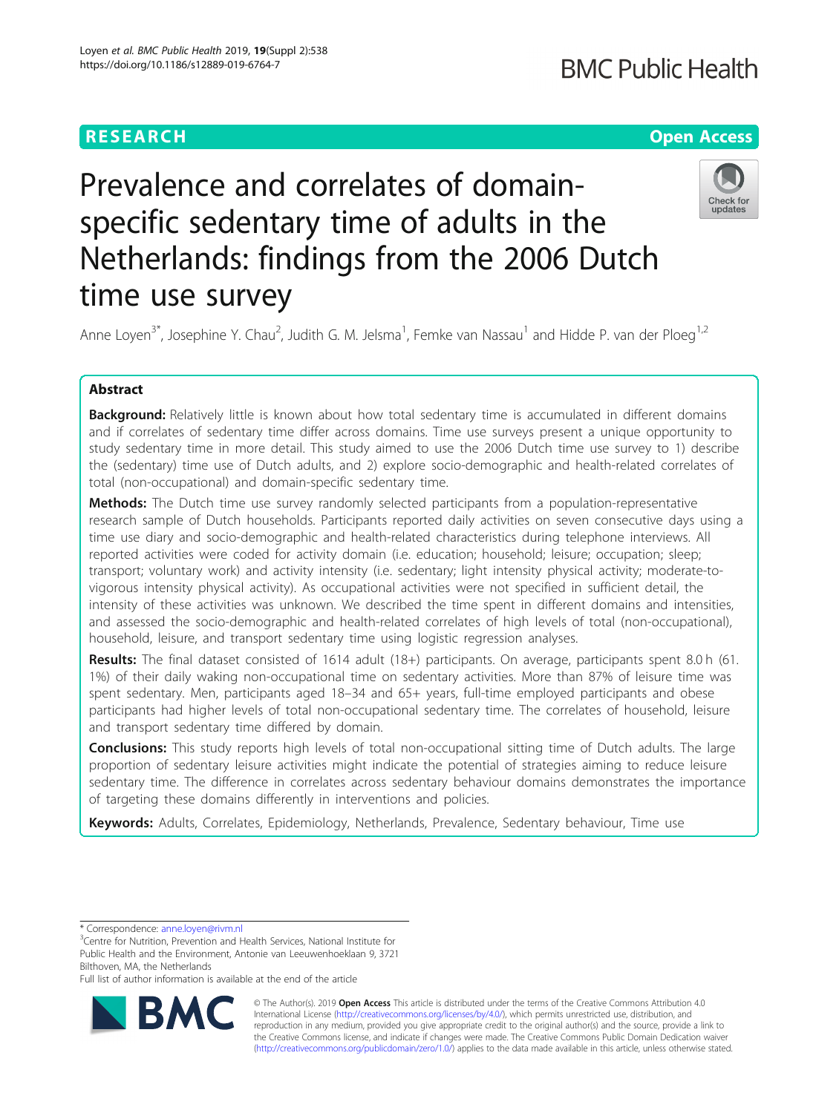## **RESEARCH CHEAR CHEAR CHEAR CHEAR CHEAR CHEAP CONTROL**

# Prevalence and correlates of domainspecific sedentary time of adults in the Netherlands: findings from the 2006 Dutch time use survey



Anne Loyen<sup>3\*</sup>, Josephine Y. Chau<sup>2</sup>, Judith G. M. Jelsma<sup>1</sup>, Femke van Nassau<sup>1</sup> and Hidde P. van der Ploeg<sup>1,2</sup>

### Abstract

**Background:** Relatively little is known about how total sedentary time is accumulated in different domains and if correlates of sedentary time differ across domains. Time use surveys present a unique opportunity to study sedentary time in more detail. This study aimed to use the 2006 Dutch time use survey to 1) describe the (sedentary) time use of Dutch adults, and 2) explore socio-demographic and health-related correlates of total (non-occupational) and domain-specific sedentary time.

**Methods:** The Dutch time use survey randomly selected participants from a population-representative research sample of Dutch households. Participants reported daily activities on seven consecutive days using a time use diary and socio-demographic and health-related characteristics during telephone interviews. All reported activities were coded for activity domain (i.e. education; household; leisure; occupation; sleep; transport; voluntary work) and activity intensity (i.e. sedentary; light intensity physical activity; moderate-tovigorous intensity physical activity). As occupational activities were not specified in sufficient detail, the intensity of these activities was unknown. We described the time spent in different domains and intensities, and assessed the socio-demographic and health-related correlates of high levels of total (non-occupational), household, leisure, and transport sedentary time using logistic regression analyses.

Results: The final dataset consisted of 1614 adult (18+) participants. On average, participants spent 8.0 h (61. 1%) of their daily waking non-occupational time on sedentary activities. More than 87% of leisure time was spent sedentary. Men, participants aged 18–34 and 65+ years, full-time employed participants and obese participants had higher levels of total non-occupational sedentary time. The correlates of household, leisure and transport sedentary time differed by domain.

**Conclusions:** This study reports high levels of total non-occupational sitting time of Dutch adults. The large proportion of sedentary leisure activities might indicate the potential of strategies aiming to reduce leisure sedentary time. The difference in correlates across sedentary behaviour domains demonstrates the importance of targeting these domains differently in interventions and policies.

Keywords: Adults, Correlates, Epidemiology, Netherlands, Prevalence, Sedentary behaviour, Time use

\* Correspondence: [anne.loyen@rivm.nl](mailto:anne.loyen@rivm.nl) <sup>3</sup>

<sup>3</sup> Centre for Nutrition, Prevention and Health Services, National Institute for Public Health and the Environment, Antonie van Leeuwenhoeklaan 9, 3721 Bilthoven, MA, the Netherlands

Full list of author information is available at the end of the article



© The Author(s). 2019 **Open Access** This article is distributed under the terms of the Creative Commons Attribution 4.0 International License [\(http://creativecommons.org/licenses/by/4.0/](http://creativecommons.org/licenses/by/4.0/)), which permits unrestricted use, distribution, and reproduction in any medium, provided you give appropriate credit to the original author(s) and the source, provide a link to the Creative Commons license, and indicate if changes were made. The Creative Commons Public Domain Dedication waiver [\(http://creativecommons.org/publicdomain/zero/1.0/](http://creativecommons.org/publicdomain/zero/1.0/)) applies to the data made available in this article, unless otherwise stated.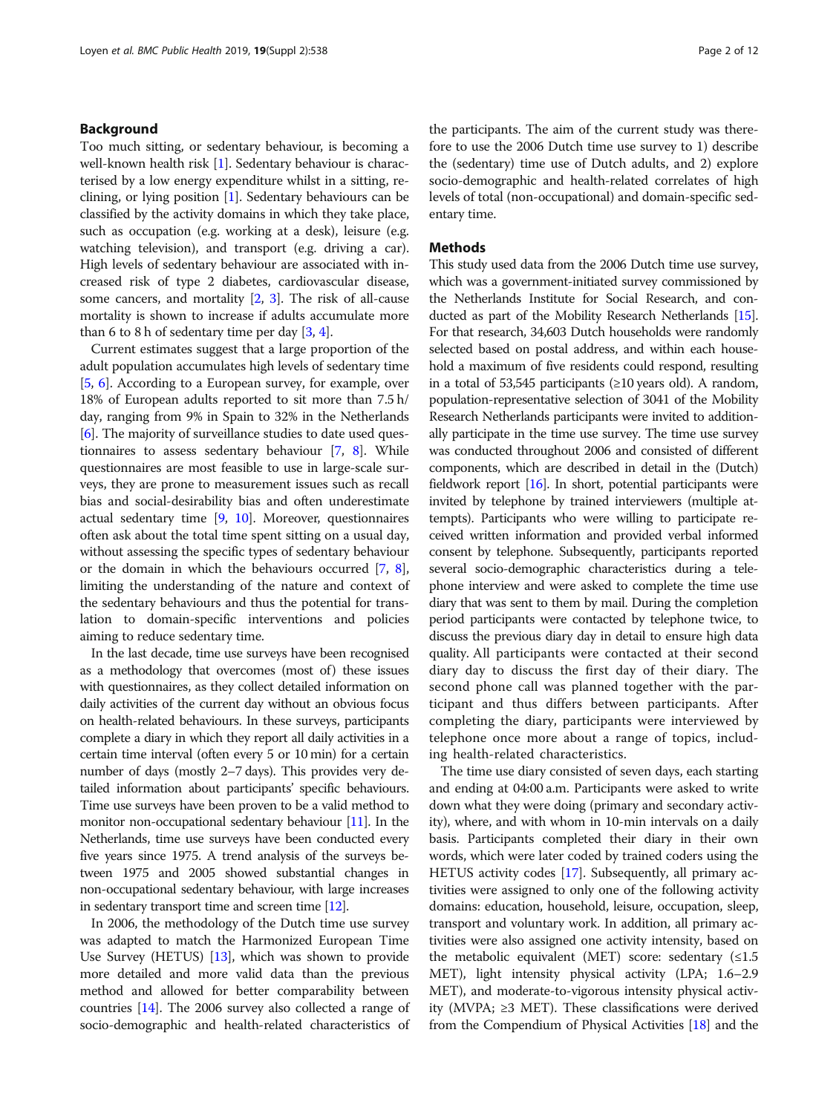#### Background

Too much sitting, or sedentary behaviour, is becoming a well-known health risk [\[1](#page-11-0)]. Sedentary behaviour is characterised by a low energy expenditure whilst in a sitting, reclining, or lying position [[1\]](#page-11-0). Sedentary behaviours can be classified by the activity domains in which they take place, such as occupation (e.g. working at a desk), leisure (e.g. watching television), and transport (e.g. driving a car). High levels of sedentary behaviour are associated with increased risk of type 2 diabetes, cardiovascular disease, some cancers, and mortality [[2](#page-11-0), [3](#page-11-0)]. The risk of all-cause mortality is shown to increase if adults accumulate more than 6 to 8 h of sedentary time per day  $[3, 4]$  $[3, 4]$  $[3, 4]$  $[3, 4]$ .

Current estimates suggest that a large proportion of the adult population accumulates high levels of sedentary time [[5,](#page-11-0) [6\]](#page-11-0). According to a European survey, for example, over 18% of European adults reported to sit more than 7.5 h/ day, ranging from 9% in Spain to 32% in the Netherlands [[6\]](#page-11-0). The majority of surveillance studies to date used questionnaires to assess sedentary behaviour [[7](#page-11-0), [8](#page-11-0)]. While questionnaires are most feasible to use in large-scale surveys, they are prone to measurement issues such as recall bias and social-desirability bias and often underestimate actual sedentary time [[9,](#page-11-0) [10](#page-11-0)]. Moreover, questionnaires often ask about the total time spent sitting on a usual day, without assessing the specific types of sedentary behaviour or the domain in which the behaviours occurred [\[7](#page-11-0), [8](#page-11-0)], limiting the understanding of the nature and context of the sedentary behaviours and thus the potential for translation to domain-specific interventions and policies aiming to reduce sedentary time.

In the last decade, time use surveys have been recognised as a methodology that overcomes (most of) these issues with questionnaires, as they collect detailed information on daily activities of the current day without an obvious focus on health-related behaviours. In these surveys, participants complete a diary in which they report all daily activities in a certain time interval (often every 5 or 10 min) for a certain number of days (mostly 2–7 days). This provides very detailed information about participants' specific behaviours. Time use surveys have been proven to be a valid method to monitor non-occupational sedentary behaviour [\[11](#page-11-0)]. In the Netherlands, time use surveys have been conducted every five years since 1975. A trend analysis of the surveys between 1975 and 2005 showed substantial changes in non-occupational sedentary behaviour, with large increases in sedentary transport time and screen time [\[12\]](#page-11-0).

In 2006, the methodology of the Dutch time use survey was adapted to match the Harmonized European Time Use Survey (HETUS) [[13\]](#page-11-0), which was shown to provide more detailed and more valid data than the previous method and allowed for better comparability between countries [\[14](#page-11-0)]. The 2006 survey also collected a range of socio-demographic and health-related characteristics of

the participants. The aim of the current study was therefore to use the 2006 Dutch time use survey to 1) describe the (sedentary) time use of Dutch adults, and 2) explore socio-demographic and health-related correlates of high levels of total (non-occupational) and domain-specific sedentary time.

#### Methods

This study used data from the 2006 Dutch time use survey, which was a government-initiated survey commissioned by the Netherlands Institute for Social Research, and conducted as part of the Mobility Research Netherlands [\[15](#page-11-0)]. For that research, 34,603 Dutch households were randomly selected based on postal address, and within each household a maximum of five residents could respond, resulting in a total of 53,545 participants (≥10 years old). A random, population-representative selection of 3041 of the Mobility Research Netherlands participants were invited to additionally participate in the time use survey. The time use survey was conducted throughout 2006 and consisted of different components, which are described in detail in the (Dutch) fieldwork report [\[16](#page-11-0)]. In short, potential participants were invited by telephone by trained interviewers (multiple attempts). Participants who were willing to participate received written information and provided verbal informed consent by telephone. Subsequently, participants reported several socio-demographic characteristics during a telephone interview and were asked to complete the time use diary that was sent to them by mail. During the completion period participants were contacted by telephone twice, to discuss the previous diary day in detail to ensure high data quality. All participants were contacted at their second diary day to discuss the first day of their diary. The second phone call was planned together with the participant and thus differs between participants. After completing the diary, participants were interviewed by telephone once more about a range of topics, including health-related characteristics.

The time use diary consisted of seven days, each starting and ending at 04:00 a.m. Participants were asked to write down what they were doing (primary and secondary activity), where, and with whom in 10-min intervals on a daily basis. Participants completed their diary in their own words, which were later coded by trained coders using the HETUS activity codes [\[17\]](#page-11-0). Subsequently, all primary activities were assigned to only one of the following activity domains: education, household, leisure, occupation, sleep, transport and voluntary work. In addition, all primary activities were also assigned one activity intensity, based on the metabolic equivalent (MET) score: sedentary  $(≤1.5)$ MET), light intensity physical activity (LPA; 1.6–2.9 MET), and moderate-to-vigorous intensity physical activity (MVPA; ≥3 MET). These classifications were derived from the Compendium of Physical Activities [[18\]](#page-11-0) and the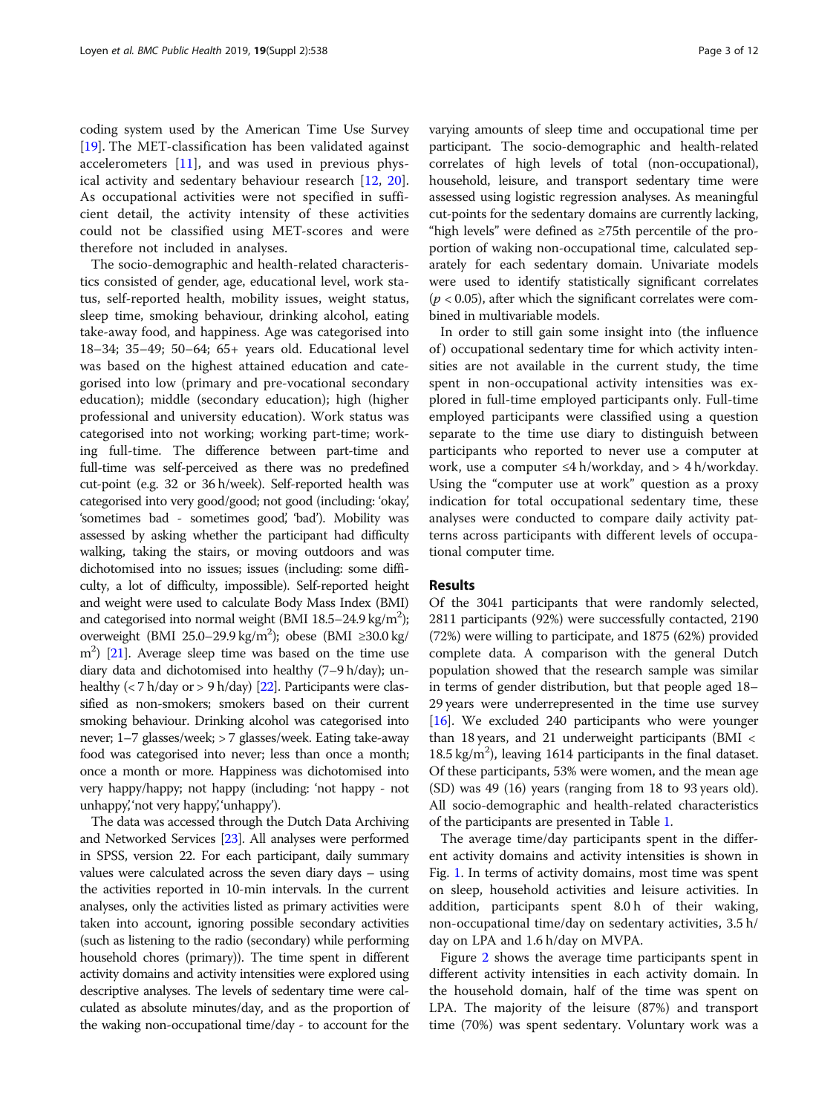coding system used by the American Time Use Survey [[19](#page-11-0)]. The MET-classification has been validated against accelerometers [\[11](#page-11-0)], and was used in previous physical activity and sedentary behaviour research [[12,](#page-11-0) [20](#page-11-0)]. As occupational activities were not specified in sufficient detail, the activity intensity of these activities could not be classified using MET-scores and were therefore not included in analyses.

The socio-demographic and health-related characteristics consisted of gender, age, educational level, work status, self-reported health, mobility issues, weight status, sleep time, smoking behaviour, drinking alcohol, eating take-away food, and happiness. Age was categorised into 18–34; 35–49; 50–64; 65+ years old. Educational level was based on the highest attained education and categorised into low (primary and pre-vocational secondary education); middle (secondary education); high (higher professional and university education). Work status was categorised into not working; working part-time; working full-time. The difference between part-time and full-time was self-perceived as there was no predefined cut-point (e.g. 32 or 36 h/week). Self-reported health was categorised into very good/good; not good (including: 'okay,' 'sometimes bad - sometimes good,' 'bad'). Mobility was assessed by asking whether the participant had difficulty walking, taking the stairs, or moving outdoors and was dichotomised into no issues; issues (including: some difficulty, a lot of difficulty, impossible). Self-reported height and weight were used to calculate Body Mass Index (BMI) and categorised into normal weight (BMI 18.5–24.9 kg/m<sup>2</sup>); overweight (BMI 25.0-29.9 kg/m<sup>2</sup>); obese (BMI ≥30.0 kg/ m<sup>2</sup>) [[21\]](#page-11-0). Average sleep time was based on the time use diary data and dichotomised into healthy (7–9 h/day); unhealthy  $\left\langle \frac{27 \text{ h}}{ \text{ day of } } \right\rangle$  = 9 h/day) [[22](#page-11-0)]. Participants were classified as non-smokers; smokers based on their current smoking behaviour. Drinking alcohol was categorised into never; 1–7 glasses/week; > 7 glasses/week. Eating take-away food was categorised into never; less than once a month; once a month or more. Happiness was dichotomised into very happy/happy; not happy (including: 'not happy - not unhappy,' not very happy,' unhappy').

The data was accessed through the Dutch Data Archiving and Networked Services [\[23\]](#page-11-0). All analyses were performed in SPSS, version 22. For each participant, daily summary values were calculated across the seven diary days – using the activities reported in 10-min intervals. In the current analyses, only the activities listed as primary activities were taken into account, ignoring possible secondary activities (such as listening to the radio (secondary) while performing household chores (primary)). The time spent in different activity domains and activity intensities were explored using descriptive analyses. The levels of sedentary time were calculated as absolute minutes/day, and as the proportion of the waking non-occupational time/day - to account for the varying amounts of sleep time and occupational time per participant. The socio-demographic and health-related correlates of high levels of total (non-occupational), household, leisure, and transport sedentary time were assessed using logistic regression analyses. As meaningful cut-points for the sedentary domains are currently lacking, "high levels" were defined as ≥75th percentile of the proportion of waking non-occupational time, calculated separately for each sedentary domain. Univariate models were used to identify statistically significant correlates  $(p < 0.05)$ , after which the significant correlates were combined in multivariable models.

In order to still gain some insight into (the influence of) occupational sedentary time for which activity intensities are not available in the current study, the time spent in non-occupational activity intensities was explored in full-time employed participants only. Full-time employed participants were classified using a question separate to the time use diary to distinguish between participants who reported to never use a computer at work, use a computer  $\leq 4$  h/workday, and > 4 h/workday. Using the "computer use at work" question as a proxy indication for total occupational sedentary time, these analyses were conducted to compare daily activity patterns across participants with different levels of occupational computer time.

#### Results

Of the 3041 participants that were randomly selected, 2811 participants (92%) were successfully contacted, 2190 (72%) were willing to participate, and 1875 (62%) provided complete data. A comparison with the general Dutch population showed that the research sample was similar in terms of gender distribution, but that people aged 18– 29 years were underrepresented in the time use survey [[16](#page-11-0)]. We excluded 240 participants who were younger than 18 years, and 21 underweight participants (BMI <  $18.5 \text{ kg/m}^2$ ), leaving 1614 participants in the final dataset. Of these participants, 53% were women, and the mean age (SD) was 49 (16) years (ranging from 18 to 93 years old). All socio-demographic and health-related characteristics of the participants are presented in Table [1.](#page-3-0)

The average time/day participants spent in the different activity domains and activity intensities is shown in Fig. [1](#page-4-0). In terms of activity domains, most time was spent on sleep, household activities and leisure activities. In addition, participants spent 8.0 h of their waking, non-occupational time/day on sedentary activities, 3.5 h/ day on LPA and 1.6 h/day on MVPA.

Figure [2](#page-5-0) shows the average time participants spent in different activity intensities in each activity domain. In the household domain, half of the time was spent on LPA. The majority of the leisure (87%) and transport time (70%) was spent sedentary. Voluntary work was a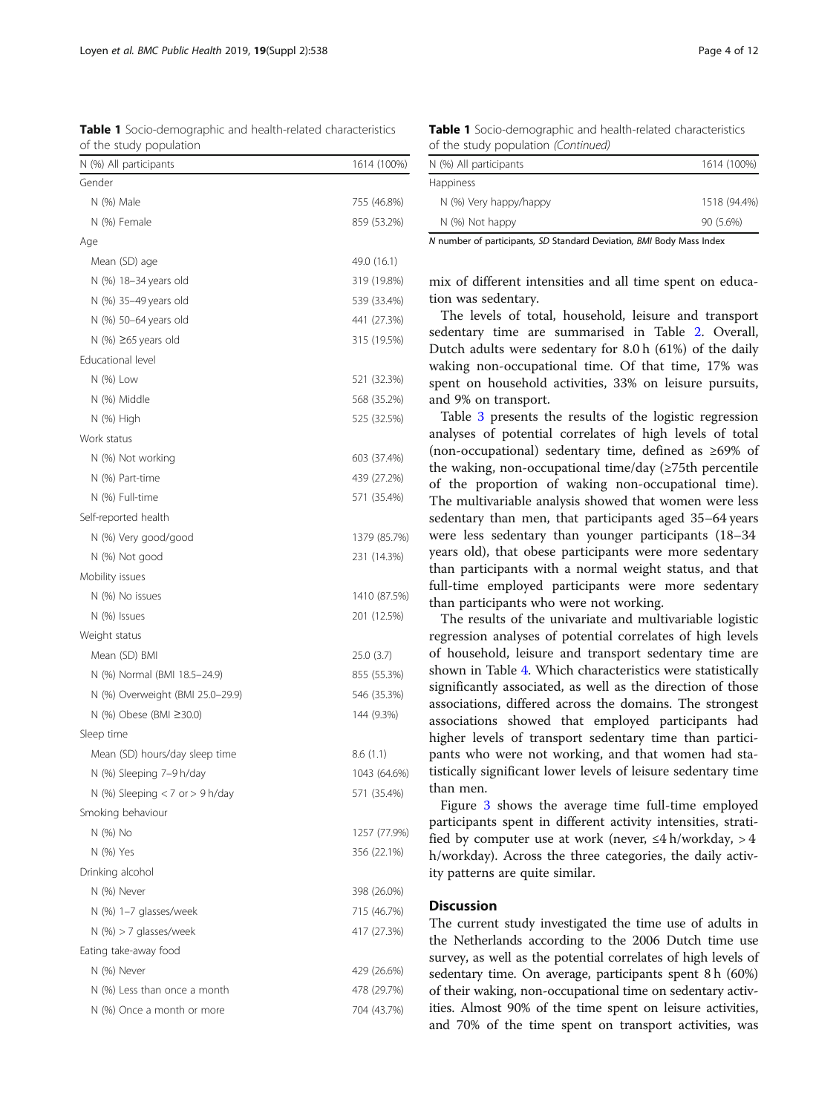<span id="page-3-0"></span>Table 1 Socio-demographic and health-related characteristics of the study population

| N (%) All participants           | 1614 (100%)  |
|----------------------------------|--------------|
| Gender                           |              |
| N (%) Male                       | 755 (46.8%)  |
| N (%) Female                     | 859 (53.2%)  |
| Age                              |              |
| Mean (SD) age                    | 49.0 (16.1)  |
| N (%) 18–34 years old            | 319 (19.8%)  |
| N (%) 35–49 years old            | 539 (33.4%)  |
| N (%) 50–64 years old            | 441 (27.3%)  |
| $N$ (%) $\geq$ 65 years old      | 315 (19.5%)  |
| Educational level                |              |
| N (%) Low                        | 521 (32.3%)  |
| N (%) Middle                     | 568 (35.2%)  |
| N (%) High                       | 525 (32.5%)  |
| Work status                      |              |
| N (%) Not working                | 603 (37.4%)  |
| N (%) Part-time                  | 439 (27.2%)  |
| N (%) Full-time                  | 571 (35.4%)  |
| Self-reported health             |              |
| N (%) Very good/good             | 1379 (85.7%) |
| N (%) Not good                   | 231 (14.3%)  |
| Mobility issues                  |              |
| N (%) No issues                  | 1410 (87.5%) |
| N (%) Issues                     | 201 (12.5%)  |
| Weight status                    |              |
| Mean (SD) BMI                    | 25.0 (3.7)   |
| N (%) Normal (BMI 18.5-24.9)     | 855 (55.3%)  |
| N (%) Overweight (BMI 25.0-29.9) | 546 (35.3%)  |
| N (%) Obese (BMI ≥30.0)          | 144 (9.3%)   |
| Sleep time                       |              |
| Mean (SD) hours/day sleep time   | 8.6(1.1)     |
| N (%) Sleeping 7-9 h/day         | 1043 (64.6%) |
| N (%) Sleeping < 7 or > 9 h/day  | 571 (35.4%)  |
| Smoking behaviour                |              |
| N (%) No                         | 1257 (77.9%) |
| N (%) Yes                        | 356 (22.1%)  |
| Drinking alcohol                 |              |
| N (%) Never                      | 398 (26.0%)  |
| N (%) 1-7 glasses/week           | 715 (46.7%)  |
| $N$ (%) > 7 glasses/week         | 417 (27.3%)  |
| Eating take-away food            |              |
| N (%) Never                      | 429 (26.6%)  |
| N (%) Less than once a month     | 478 (29.7%)  |
| N (%) Once a month or more       | 704 (43.7%)  |

Table 1 Socio-demographic and health-related characteristics of the study population (Continued)

| N (%) All participants<br>1614 (100%) |              |  |
|---------------------------------------|--------------|--|
| <b>Happiness</b>                      |              |  |
| N (%) Very happy/happy                | 1518 (94.4%) |  |
| $N$ (%) Not happy                     | 90 (5.6%)    |  |

N number of participants, SD Standard Deviation, BMI Body Mass Index

mix of different intensities and all time spent on education was sedentary.

The levels of total, household, leisure and transport sedentary time are summarised in Table [2.](#page-6-0) Overall, Dutch adults were sedentary for 8.0 h (61%) of the daily waking non-occupational time. Of that time, 17% was spent on household activities, 33% on leisure pursuits, and 9% on transport.

Table [3](#page-7-0) presents the results of the logistic regression analyses of potential correlates of high levels of total (non-occupational) sedentary time, defined as ≥69% of the waking, non-occupational time/day (≥75th percentile of the proportion of waking non-occupational time). The multivariable analysis showed that women were less sedentary than men, that participants aged 35–64 years were less sedentary than younger participants (18–34 years old), that obese participants were more sedentary than participants with a normal weight status, and that full-time employed participants were more sedentary than participants who were not working.

The results of the univariate and multivariable logistic regression analyses of potential correlates of high levels of household, leisure and transport sedentary time are shown in Table [4.](#page-8-0) Which characteristics were statistically significantly associated, as well as the direction of those associations, differed across the domains. The strongest associations showed that employed participants had higher levels of transport sedentary time than participants who were not working, and that women had statistically significant lower levels of leisure sedentary time than men.

Figure [3](#page-9-0) shows the average time full-time employed participants spent in different activity intensities, stratified by computer use at work (never,  $\leq 4$  h/workday,  $> 4$ h/workday). Across the three categories, the daily activity patterns are quite similar.

#### **Discussion**

The current study investigated the time use of adults in the Netherlands according to the 2006 Dutch time use survey, as well as the potential correlates of high levels of sedentary time. On average, participants spent 8 h (60%) of their waking, non-occupational time on sedentary activities. Almost 90% of the time spent on leisure activities, and 70% of the time spent on transport activities, was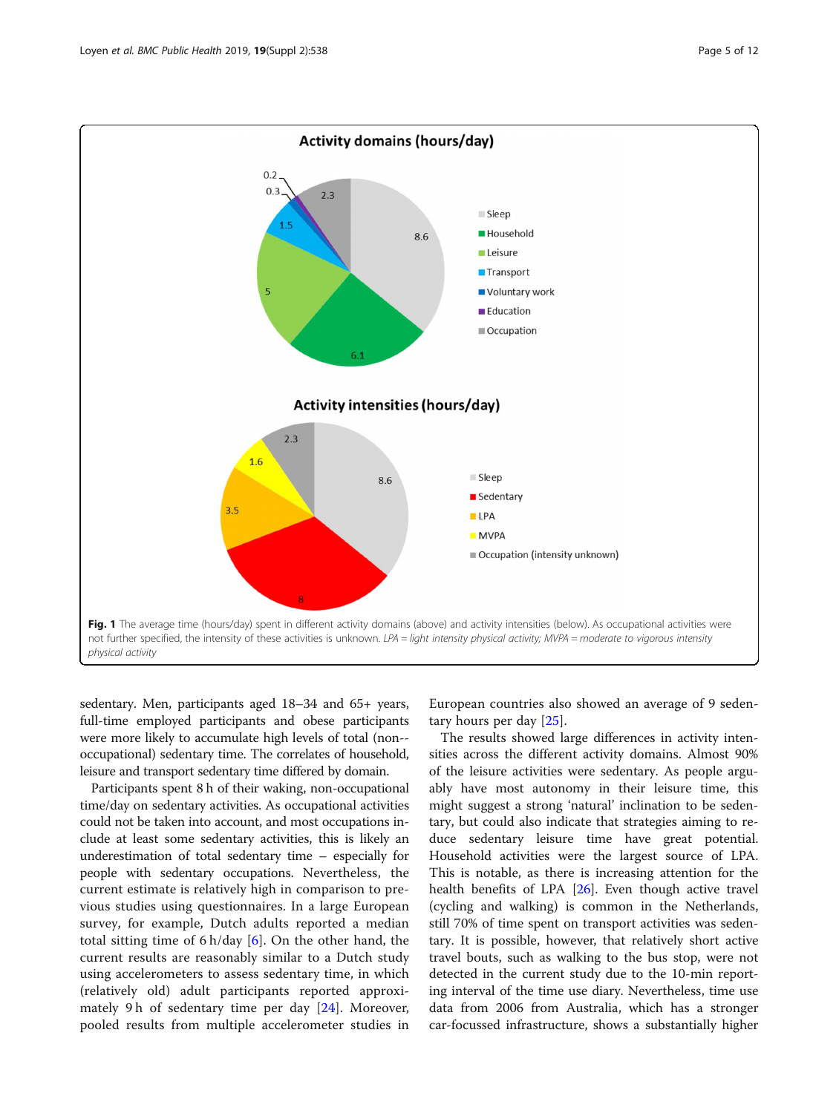<span id="page-4-0"></span>

sedentary. Men, participants aged 18–34 and 65+ years, full-time employed participants and obese participants were more likely to accumulate high levels of total (non- occupational) sedentary time. The correlates of household, leisure and transport sedentary time differed by domain.

Participants spent 8 h of their waking, non-occupational time/day on sedentary activities. As occupational activities could not be taken into account, and most occupations include at least some sedentary activities, this is likely an underestimation of total sedentary time – especially for people with sedentary occupations. Nevertheless, the current estimate is relatively high in comparison to previous studies using questionnaires. In a large European survey, for example, Dutch adults reported a median total sitting time of 6 h/day [[6\]](#page-11-0). On the other hand, the current results are reasonably similar to a Dutch study using accelerometers to assess sedentary time, in which (relatively old) adult participants reported approximately 9 h of sedentary time per day  $[24]$  $[24]$ . Moreover, pooled results from multiple accelerometer studies in

European countries also showed an average of 9 sedentary hours per day [\[25](#page-11-0)].

The results showed large differences in activity intensities across the different activity domains. Almost 90% of the leisure activities were sedentary. As people arguably have most autonomy in their leisure time, this might suggest a strong 'natural' inclination to be sedentary, but could also indicate that strategies aiming to reduce sedentary leisure time have great potential. Household activities were the largest source of LPA. This is notable, as there is increasing attention for the health benefits of LPA [[26](#page-11-0)]. Even though active travel (cycling and walking) is common in the Netherlands, still 70% of time spent on transport activities was sedentary. It is possible, however, that relatively short active travel bouts, such as walking to the bus stop, were not detected in the current study due to the 10-min reporting interval of the time use diary. Nevertheless, time use data from 2006 from Australia, which has a stronger car-focussed infrastructure, shows a substantially higher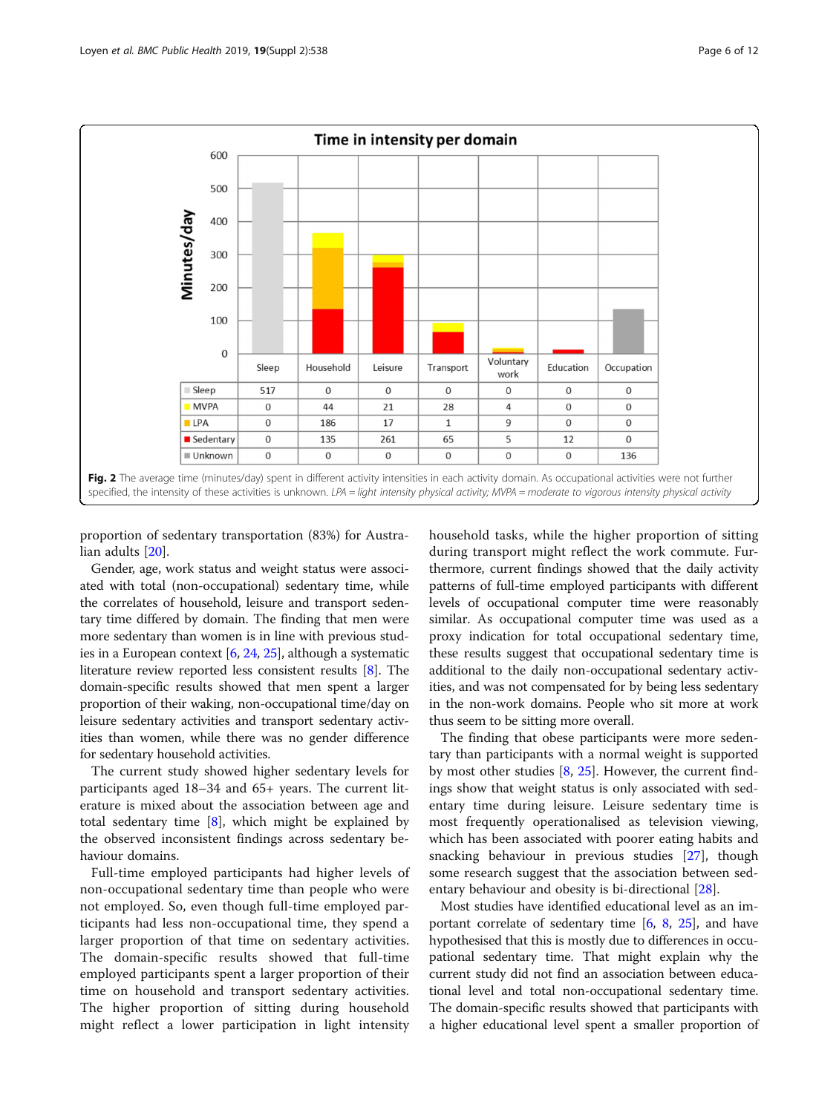<span id="page-5-0"></span>

proportion of sedentary transportation (83%) for Australian adults [\[20](#page-11-0)].

Gender, age, work status and weight status were associated with total (non-occupational) sedentary time, while the correlates of household, leisure and transport sedentary time differed by domain. The finding that men were more sedentary than women is in line with previous studies in a European context  $[6, 24, 25]$  $[6, 24, 25]$  $[6, 24, 25]$  $[6, 24, 25]$  $[6, 24, 25]$ , although a systematic literature review reported less consistent results [[8](#page-11-0)]. The domain-specific results showed that men spent a larger proportion of their waking, non-occupational time/day on leisure sedentary activities and transport sedentary activities than women, while there was no gender difference for sedentary household activities.

The current study showed higher sedentary levels for participants aged 18–34 and 65+ years. The current literature is mixed about the association between age and total sedentary time  $[8]$  $[8]$ , which might be explained by the observed inconsistent findings across sedentary behaviour domains.

Full-time employed participants had higher levels of non-occupational sedentary time than people who were not employed. So, even though full-time employed participants had less non-occupational time, they spend a larger proportion of that time on sedentary activities. The domain-specific results showed that full-time employed participants spent a larger proportion of their time on household and transport sedentary activities. The higher proportion of sitting during household might reflect a lower participation in light intensity household tasks, while the higher proportion of sitting during transport might reflect the work commute. Furthermore, current findings showed that the daily activity patterns of full-time employed participants with different levels of occupational computer time were reasonably similar. As occupational computer time was used as a proxy indication for total occupational sedentary time, these results suggest that occupational sedentary time is additional to the daily non-occupational sedentary activities, and was not compensated for by being less sedentary in the non-work domains. People who sit more at work thus seem to be sitting more overall.

The finding that obese participants were more sedentary than participants with a normal weight is supported by most other studies [\[8,](#page-11-0) [25](#page-11-0)]. However, the current findings show that weight status is only associated with sedentary time during leisure. Leisure sedentary time is most frequently operationalised as television viewing, which has been associated with poorer eating habits and snacking behaviour in previous studies [[27\]](#page-11-0), though some research suggest that the association between sedentary behaviour and obesity is bi-directional [[28\]](#page-11-0).

Most studies have identified educational level as an important correlate of sedentary time [[6,](#page-11-0) [8](#page-11-0), [25](#page-11-0)], and have hypothesised that this is mostly due to differences in occupational sedentary time. That might explain why the current study did not find an association between educational level and total non-occupational sedentary time. The domain-specific results showed that participants with a higher educational level spent a smaller proportion of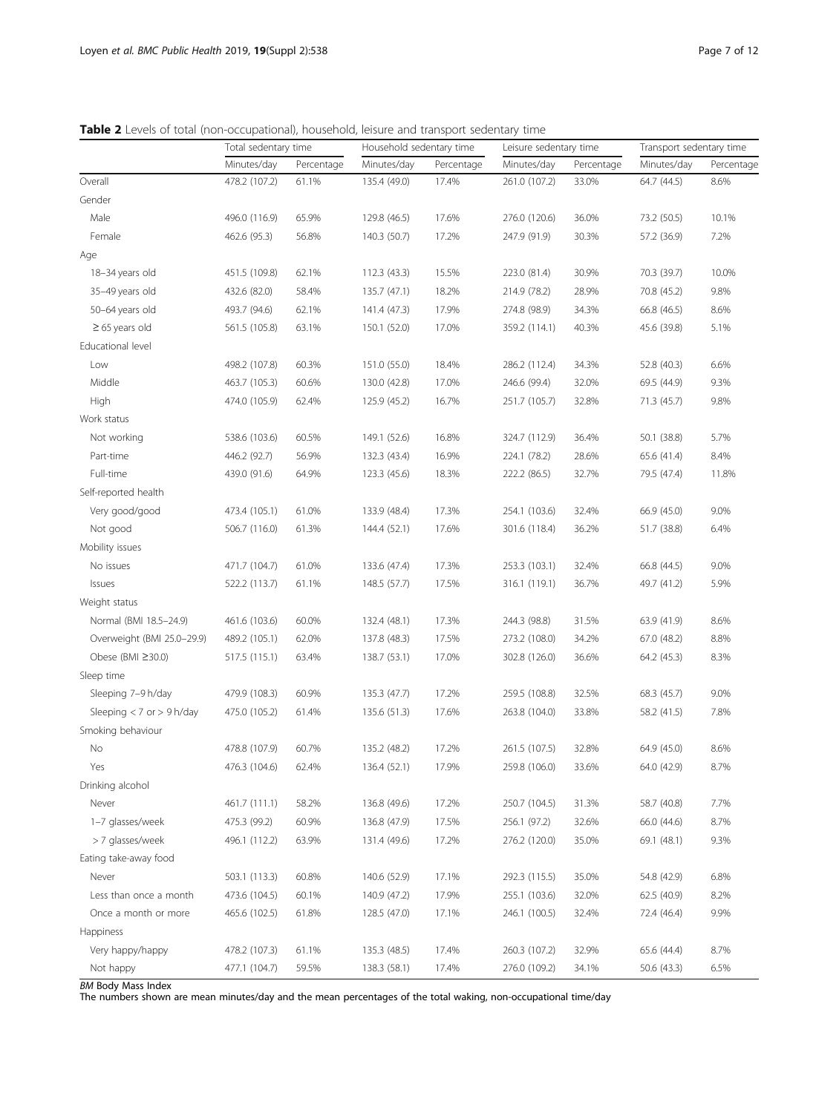|                            | Total sedentary time |            | Household sedentary time |            | Leisure sedentary time |            | Transport sedentary time |            |
|----------------------------|----------------------|------------|--------------------------|------------|------------------------|------------|--------------------------|------------|
|                            | Minutes/day          | Percentage | Minutes/day              | Percentage | Minutes/day            | Percentage | Minutes/day              | Percentage |
| Overall                    | 478.2 (107.2)        | 61.1%      | 135.4 (49.0)             | 17.4%      | 261.0 (107.2)          | 33.0%      | 64.7 (44.5)              | 8.6%       |
| Gender                     |                      |            |                          |            |                        |            |                          |            |
| Male                       | 496.0 (116.9)        | 65.9%      | 129.8 (46.5)             | 17.6%      | 276.0 (120.6)          | 36.0%      | 73.2 (50.5)              | 10.1%      |
| Female                     | 462.6 (95.3)         | 56.8%      | 140.3 (50.7)             | 17.2%      | 247.9 (91.9)           | 30.3%      | 57.2 (36.9)              | 7.2%       |
| Age                        |                      |            |                          |            |                        |            |                          |            |
| 18-34 years old            | 451.5 (109.8)        | 62.1%      | 112.3 (43.3)             | 15.5%      | 223.0 (81.4)           | 30.9%      | 70.3 (39.7)              | 10.0%      |
| 35-49 years old            | 432.6 (82.0)         | 58.4%      | 135.7 (47.1)             | 18.2%      | 214.9 (78.2)           | 28.9%      | 70.8 (45.2)              | 9.8%       |
| 50-64 years old            | 493.7 (94.6)         | 62.1%      | 141.4 (47.3)             | 17.9%      | 274.8 (98.9)           | 34.3%      | 66.8 (46.5)              | 8.6%       |
| $\geq 65$ years old        | 561.5 (105.8)        | 63.1%      | 150.1 (52.0)             | 17.0%      | 359.2 (114.1)          | 40.3%      | 45.6 (39.8)              | 5.1%       |
| Educational level          |                      |            |                          |            |                        |            |                          |            |
| Low                        | 498.2 (107.8)        | 60.3%      | 151.0 (55.0)             | 18.4%      | 286.2 (112.4)          | 34.3%      | 52.8 (40.3)              | 6.6%       |
| Middle                     | 463.7 (105.3)        | 60.6%      | 130.0 (42.8)             | 17.0%      | 246.6 (99.4)           | 32.0%      | 69.5 (44.9)              | 9.3%       |
| High                       | 474.0 (105.9)        | 62.4%      | 125.9 (45.2)             | 16.7%      | 251.7 (105.7)          | 32.8%      | 71.3 (45.7)              | 9.8%       |
| Work status                |                      |            |                          |            |                        |            |                          |            |
| Not working                | 538.6 (103.6)        | 60.5%      | 149.1 (52.6)             | 16.8%      | 324.7 (112.9)          | 36.4%      | 50.1 (38.8)              | 5.7%       |
| Part-time                  | 446.2 (92.7)         | 56.9%      | 132.3 (43.4)             | 16.9%      | 224.1 (78.2)           | 28.6%      | 65.6 (41.4)              | 8.4%       |
| Full-time                  | 439.0 (91.6)         | 64.9%      | 123.3 (45.6)             | 18.3%      | 222.2 (86.5)           | 32.7%      | 79.5 (47.4)              | 11.8%      |
| Self-reported health       |                      |            |                          |            |                        |            |                          |            |
| Very good/good             | 473.4 (105.1)        | 61.0%      | 133.9 (48.4)             | 17.3%      | 254.1 (103.6)          | 32.4%      | 66.9 (45.0)              | 9.0%       |
| Not good                   | 506.7 (116.0)        | 61.3%      | 144.4 (52.1)             | 17.6%      | 301.6 (118.4)          | 36.2%      | 51.7 (38.8)              | 6.4%       |
| Mobility issues            |                      |            |                          |            |                        |            |                          |            |
| No issues                  | 471.7 (104.7)        | 61.0%      | 133.6 (47.4)             | 17.3%      | 253.3 (103.1)          | 32.4%      | 66.8 (44.5)              | 9.0%       |
| Issues                     | 522.2 (113.7)        | 61.1%      | 148.5 (57.7)             | 17.5%      | 316.1 (119.1)          | 36.7%      | 49.7 (41.2)              | 5.9%       |
| Weight status              |                      |            |                          |            |                        |            |                          |            |
| Normal (BMI 18.5-24.9)     | 461.6 (103.6)        | 60.0%      | 132.4 (48.1)             | 17.3%      | 244.3 (98.8)           | 31.5%      | 63.9 (41.9)              | 8.6%       |
| Overweight (BMI 25.0-29.9) | 489.2 (105.1)        | 62.0%      | 137.8 (48.3)             | 17.5%      | 273.2 (108.0)          | 34.2%      | 67.0 (48.2)              | 8.8%       |
| Obese (BMI ≥30.0)          | 517.5 (115.1)        | 63.4%      | 138.7 (53.1)             | 17.0%      | 302.8 (126.0)          | 36.6%      | 64.2 (45.3)              | 8.3%       |
| Sleep time                 |                      |            |                          |            |                        |            |                          |            |
| Sleeping 7-9 h/day         | 479.9 (108.3)        | 60.9%      | 135.3 (47.7)             | 17.2%      | 259.5 (108.8)          | 32.5%      | 68.3 (45.7)              | 9.0%       |
| Sleeping < 7 or > 9 h/day  | 475.0 (105.2)        | 61.4%      | 135.6 (51.3)             | 17.6%      | 263.8 (104.0)          | 33.8%      | 58.2 (41.5)              | 7.8%       |
| Smoking behaviour          |                      |            |                          |            |                        |            |                          |            |
| No                         | 478.8 (107.9)        | 60.7%      | 135.2 (48.2)             | 17.2%      | 261.5 (107.5)          | 32.8%      | 64.9 (45.0)              | 8.6%       |
| Yes                        | 476.3 (104.6)        | 62.4%      | 136.4 (52.1)             | 17.9%      | 259.8 (106.0)          | 33.6%      | 64.0 (42.9)              | 8.7%       |
| Drinking alcohol           |                      |            |                          |            |                        |            |                          |            |
| Never                      | 461.7 (111.1)        | 58.2%      | 136.8 (49.6)             | 17.2%      | 250.7 (104.5)          | 31.3%      | 58.7 (40.8)              | 7.7%       |
| 1-7 glasses/week           | 475.3 (99.2)         | 60.9%      | 136.8 (47.9)             | 17.5%      | 256.1 (97.2)           | 32.6%      | 66.0 (44.6)              | 8.7%       |
| > 7 glasses/week           | 496.1 (112.2)        | 63.9%      | 131.4 (49.6)             | 17.2%      | 276.2 (120.0)          | 35.0%      | 69.1 (48.1)              | 9.3%       |
| Eating take-away food      |                      |            |                          |            |                        |            |                          |            |
| Never                      | 503.1 (113.3)        | 60.8%      | 140.6 (52.9)             | 17.1%      | 292.3 (115.5)          | 35.0%      | 54.8 (42.9)              | 6.8%       |
| Less than once a month     | 473.6 (104.5)        | 60.1%      | 140.9 (47.2)             | 17.9%      | 255.1 (103.6)          | 32.0%      | 62.5 (40.9)              | 8.2%       |
| Once a month or more       | 465.6 (102.5)        | 61.8%      | 128.5 (47.0)             | 17.1%      | 246.1 (100.5)          | 32.4%      | 72.4 (46.4)              | 9.9%       |
| Happiness                  |                      |            |                          |            |                        |            |                          |            |
| Very happy/happy           |                      |            |                          |            |                        |            |                          |            |
|                            | 478.2 (107.3)        | 61.1%      | 135.3 (48.5)             | 17.4%      | 260.3 (107.2)          | 32.9%      | 65.6 (44.4)              | 8.7%       |

<span id="page-6-0"></span>Table 2 Levels of total (non-occupational), household, leisure and transport sedentary time

BM Body Mass Index The numbers shown are mean minutes/day and the mean percentages of the total waking, non-occupational time/day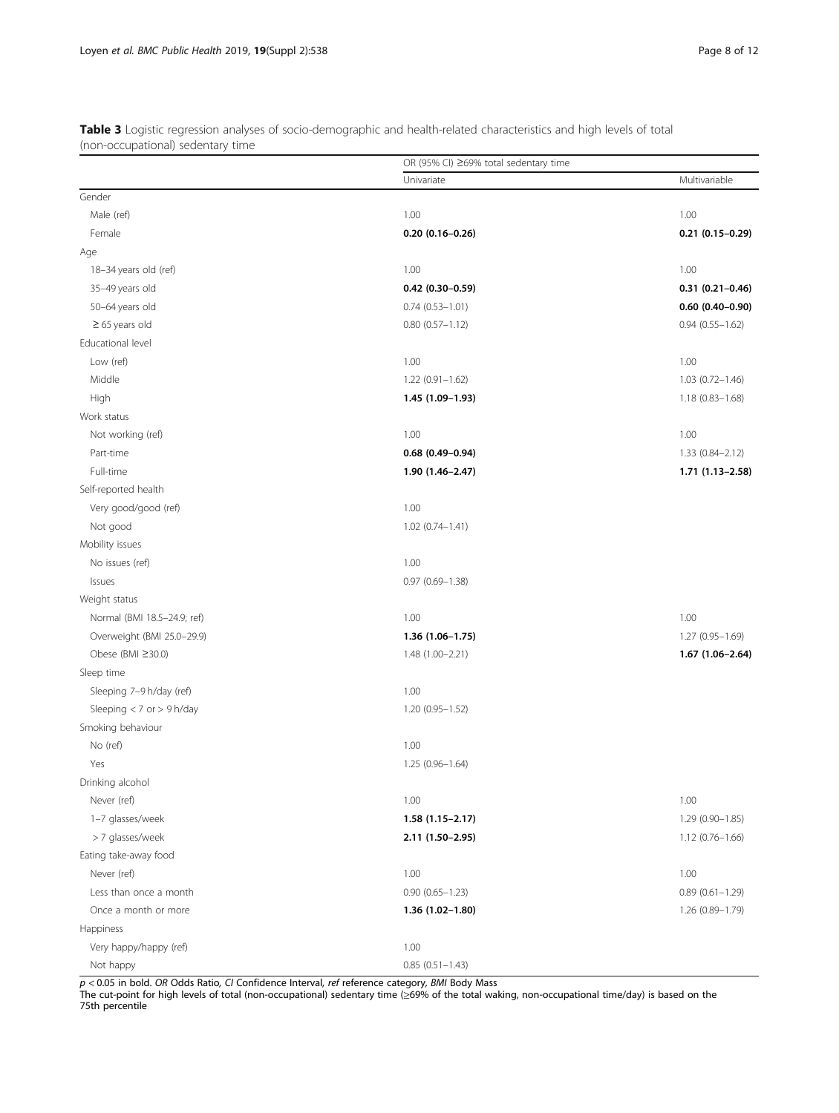<span id="page-7-0"></span>Table 3 Logistic regression analyses of socio-demographic and health-related characteristics and high levels of total (non-occupational) sedentary time

|                             | OR (95% CI) ≥69% total sedentary time |                     |  |  |
|-----------------------------|---------------------------------------|---------------------|--|--|
|                             | Univariate                            | Multivariable       |  |  |
| Gender                      |                                       |                     |  |  |
| Male (ref)                  | 1.00                                  | 1.00                |  |  |
| Female                      | $0.20(0.16 - 0.26)$                   | $0.21(0.15 - 0.29)$ |  |  |
| Age                         |                                       |                     |  |  |
| 18-34 years old (ref)       | 1.00                                  | 1.00                |  |  |
| 35-49 years old             | $0.42(0.30-0.59)$                     | $0.31(0.21 - 0.46)$ |  |  |
| 50-64 years old             | $0.74(0.53 - 1.01)$                   | $0.60(0.40 - 0.90)$ |  |  |
| $\geq 65$ years old         | $0.80(0.57 - 1.12)$                   | $0.94(0.55 - 1.62)$ |  |  |
| Educational level           |                                       |                     |  |  |
| Low (ref)                   | 1.00                                  | 1.00                |  |  |
| Middle                      | $1.22(0.91 - 1.62)$                   | $1.03(0.72 - 1.46)$ |  |  |
| High                        | 1.45 (1.09-1.93)                      | $1.18(0.83 - 1.68)$ |  |  |
| Work status                 |                                       |                     |  |  |
| Not working (ref)           | 1.00                                  | 1.00                |  |  |
| Part-time                   | $0.68(0.49 - 0.94)$                   | $1.33(0.84 - 2.12)$ |  |  |
| Full-time                   | 1.90 (1.46-2.47)                      | $1.71(1.13 - 2.58)$ |  |  |
| Self-reported health        |                                       |                     |  |  |
| Very good/good (ref)        | 1.00                                  |                     |  |  |
| Not good                    | $1.02(0.74 - 1.41)$                   |                     |  |  |
| Mobility issues             |                                       |                     |  |  |
| No issues (ref)             | 1.00                                  |                     |  |  |
| Issues                      | $0.97(0.69 - 1.38)$                   |                     |  |  |
| Weight status               |                                       |                     |  |  |
| Normal (BMI 18.5-24.9; ref) | 1.00                                  | 1.00                |  |  |
| Overweight (BMI 25.0-29.9)  | 1.36 (1.06-1.75)                      | $1.27(0.95 - 1.69)$ |  |  |
| Obese (BMI ≥30.0)           | 1.48 (1.00-2.21)                      | $1.67(1.06 - 2.64)$ |  |  |
| Sleep time                  |                                       |                     |  |  |
| Sleeping 7-9 h/day (ref)    | 1.00                                  |                     |  |  |
| Sleeping < 7 or > 9 h/day   | $1.20(0.95 - 1.52)$                   |                     |  |  |
| Smoking behaviour           |                                       |                     |  |  |
| No (ref)                    | 1.00                                  |                     |  |  |
| Yes                         | $1.25(0.96 - 1.64)$                   |                     |  |  |
| Drinking alcohol            |                                       |                     |  |  |
| Never (ref)                 | 1.00                                  | 1.00                |  |  |
| 1-7 glasses/week            | $1.58(1.15 - 2.17)$                   | 1.29 (0.90-1.85)    |  |  |
| > 7 glasses/week            | 2.11 (1.50-2.95)                      | $1.12(0.76 - 1.66)$ |  |  |
| Eating take-away food       |                                       |                     |  |  |
| Never (ref)                 | 1.00                                  | 1.00                |  |  |
| Less than once a month      | $0.90(0.65 - 1.23)$                   | $0.89(0.61 - 1.29)$ |  |  |
| Once a month or more        | 1.36 (1.02-1.80)                      | 1.26 (0.89-1.79)    |  |  |
| Happiness                   |                                       |                     |  |  |
| Very happy/happy (ref)      | 1.00                                  |                     |  |  |
| Not happy                   | $0.85(0.51 - 1.43)$                   |                     |  |  |

p < 0.05 in bold. OR Odds Ratio, CI Confidence Interval, *ref* reference category, *BMI* Body Mass<br>The cut-point for high levels of total (non-occupational) sedentary time (≥69% of the total waking, non-occupational time/ 75th percentile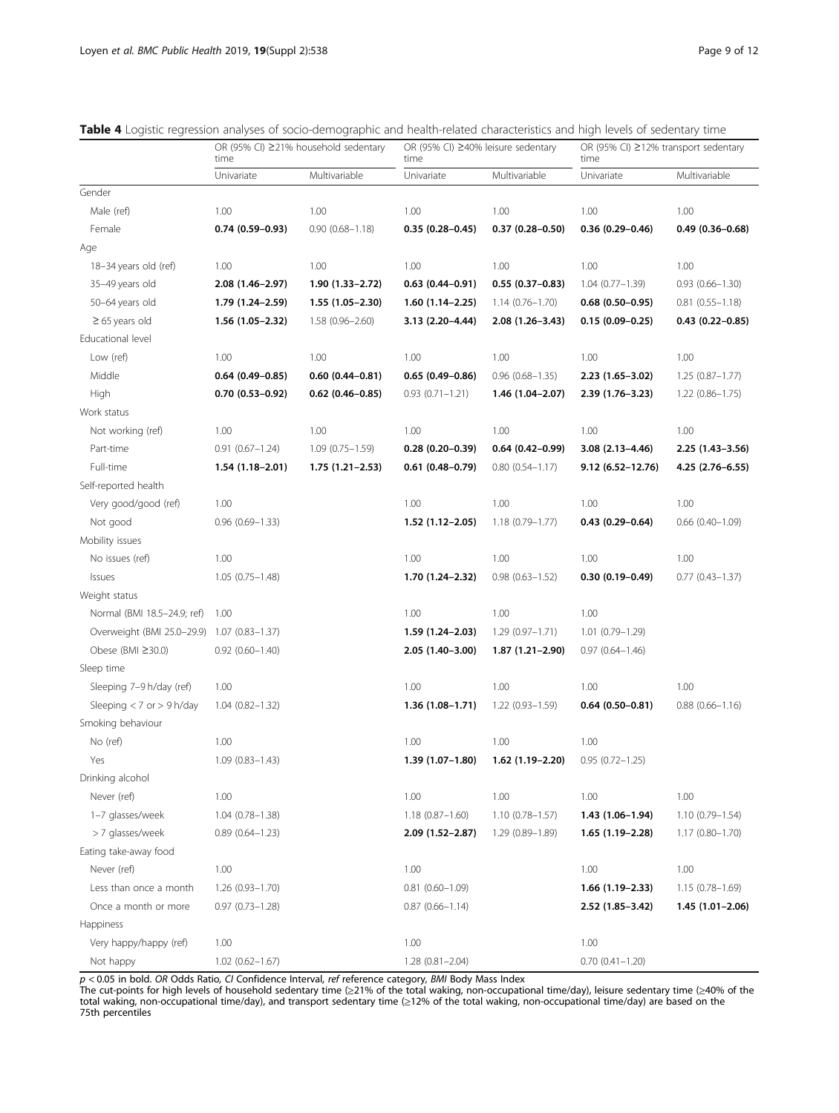|                                             | Edgibere regression analyses or soero aernographile anal<br>OR (95% CI) ≥21% household sedentary<br>time |                     | OR (95% Cl) ≥40% leisure sedentary<br>time |                     | OR (95% CI) ≥12% transport sedentary<br>time |                        |  |
|---------------------------------------------|----------------------------------------------------------------------------------------------------------|---------------------|--------------------------------------------|---------------------|----------------------------------------------|------------------------|--|
|                                             | Univariate                                                                                               | Multivariable       | Univariate                                 | Multivariable       | Univariate                                   | Multivariable          |  |
| Gender                                      |                                                                                                          |                     |                                            |                     |                                              |                        |  |
| Male (ref)                                  | 1.00                                                                                                     | 1.00                | 1.00                                       | 1.00                | 1.00                                         | 1.00                   |  |
| Female                                      | $0.74(0.59 - 0.93)$                                                                                      | $0.90(0.68 - 1.18)$ | $0.35(0.28 - 0.45)$                        | $0.37(0.28 - 0.50)$ | $0.36(0.29 - 0.46)$                          | $0.49(0.36 - 0.68)$    |  |
| Age                                         |                                                                                                          |                     |                                            |                     |                                              |                        |  |
| 18-34 years old (ref)                       | 1.00                                                                                                     | 1.00                | 1.00                                       | 1.00                | 1.00                                         | 1.00                   |  |
| 35-49 years old                             | 2.08 (1.46-2.97)                                                                                         | 1.90 (1.33-2.72)    | $0.63(0.44 - 0.91)$                        | $0.55(0.37-0.83)$   | $1.04(0.77 - 1.39)$                          | $0.93(0.66 - 1.30)$    |  |
| 50-64 years old                             | 1.79 (1.24-2.59)                                                                                         | 1.55 (1.05-2.30)    | $1.60(1.14 - 2.25)$                        | $1.14(0.76 - 1.70)$ | $0.68(0.50 - 0.95)$                          | $0.81(0.55 - 1.18)$    |  |
| $\geq 65$ years old                         | 1.56 (1.05-2.32)                                                                                         | $1.58(0.96 - 2.60)$ | $3.13(2.20-4.44)$                          | $2.08(1.26 - 3.43)$ | $0.15(0.09 - 0.25)$                          | $0.43(0.22 - 0.85)$    |  |
| Educational level                           |                                                                                                          |                     |                                            |                     |                                              |                        |  |
| Low (ref)                                   | 1.00                                                                                                     | 1.00                | 1.00                                       | 1.00                | 1.00                                         | 1.00                   |  |
| Middle                                      | $0.64(0.49 - 0.85)$                                                                                      | $0.60(0.44 - 0.81)$ | $0.65(0.49 - 0.86)$                        | $0.96(0.68 - 1.35)$ | $2.23(1.65 - 3.02)$                          | $1.25(0.87 - 1.77)$    |  |
| High                                        | $0.70(0.53 - 0.92)$                                                                                      | $0.62$ (0.46-0.85)  | $0.93(0.71 - 1.21)$                        | $1.46(1.04 - 2.07)$ | 2.39 (1.76-3.23)                             | $1.22(0.86 - 1.75)$    |  |
| Work status                                 |                                                                                                          |                     |                                            |                     |                                              |                        |  |
| Not working (ref)                           | 1.00                                                                                                     | 1.00                | 1.00                                       | 1.00                | 1.00                                         | 1.00                   |  |
| Part-time                                   | $0.91(0.67 - 1.24)$                                                                                      | $1.09(0.75 - 1.59)$ | $0.28(0.20-0.39)$                          | $0.64(0.42 - 0.99)$ | $3.08(2.13 - 4.46)$                          | 2.25 (1.43-3.56)       |  |
| Full-time                                   | $1.54(1.18-2.01)$                                                                                        | $1.75(1.21 - 2.53)$ | $0.61(0.48 - 0.79)$                        | $0.80(0.54 - 1.17)$ | $9.12(6.52 - 12.76)$                         | 4.25 (2.76-6.55)       |  |
| Self-reported health                        |                                                                                                          |                     |                                            |                     |                                              |                        |  |
| Very good/good (ref)                        | 1.00                                                                                                     |                     | 1.00                                       | 1.00                | 1.00                                         | 1.00                   |  |
| Not good                                    | $0.96(0.69 - 1.33)$                                                                                      |                     | 1.52 (1.12-2.05)                           | $1.18(0.79 - 1.77)$ | $0.43(0.29 - 0.64)$                          | $0.66$ $(0.40-1.09)$   |  |
| Mobility issues                             |                                                                                                          |                     |                                            |                     |                                              |                        |  |
| No issues (ref)                             | 1.00                                                                                                     |                     | 1.00                                       | 1.00                | 1.00                                         | 1.00                   |  |
| Issues                                      | $1.05(0.75 - 1.48)$                                                                                      |                     | 1.70 (1.24-2.32)                           | $0.98(0.63 - 1.52)$ | $0.30(0.19 - 0.49)$                          | $0.77$ $(0.43 - 1.37)$ |  |
| Weight status                               |                                                                                                          |                     |                                            |                     |                                              |                        |  |
| Normal (BMI 18.5-24.9; ref)                 | 1.00                                                                                                     |                     | 1.00                                       | 1.00                | 1.00                                         |                        |  |
| Overweight (BMI 25.0-29.9) 1.07 (0.83-1.37) |                                                                                                          |                     | 1.59 (1.24-2.03)                           | $1.29(0.97 - 1.71)$ | 1.01 (0.79-1.29)                             |                        |  |
| Obese (BMI $\geq$ 30.0)                     | $0.92$ $(0.60 - 1.40)$                                                                                   |                     | 2.05 (1.40-3.00)                           | 1.87 (1.21-2.90)    | $0.97(0.64 - 1.46)$                          |                        |  |
| Sleep time                                  |                                                                                                          |                     |                                            |                     |                                              |                        |  |
| Sleeping 7-9 h/day (ref)                    | 1.00                                                                                                     |                     | 1.00                                       | 1.00                | 1.00                                         | 1.00                   |  |
| Sleeping $<$ 7 or $>$ 9 h/day               | $1.04(0.82 - 1.32)$                                                                                      |                     | $1.36(1.08-1.71)$                          | 1.22 (0.93-1.59)    | $0.64(0.50 - 0.81)$                          | $0.88$ $(0.66 - 1.16)$ |  |
| Smoking behaviour                           |                                                                                                          |                     |                                            |                     |                                              |                        |  |
| No (ref)                                    | 1.00                                                                                                     |                     | 1.00                                       | 1.00                | 1.00                                         |                        |  |
| Yes                                         | $1.09(0.83 - 1.43)$                                                                                      |                     | 1.39 (1.07-1.80)                           | 1.62 (1.19-2.20)    | $0.95(0.72 - 1.25)$                          |                        |  |
| Drinking alcohol                            |                                                                                                          |                     |                                            |                     |                                              |                        |  |
| Never (ref)                                 | 1.00                                                                                                     |                     | 1.00                                       | 1.00                | 1.00                                         | 1.00                   |  |
| 1-7 glasses/week                            | $1.04(0.78 - 1.38)$                                                                                      |                     | $1.18(0.87 - 1.60)$                        | $1.10(0.78 - 1.57)$ | 1.43 (1.06-1.94)                             | $1.10(0.79 - 1.54)$    |  |
| > 7 glasses/week                            | $0.89(0.64 - 1.23)$                                                                                      |                     | 2.09 (1.52-2.87)                           | 1.29 (0.89-1.89)    | $1.65(1.19-2.28)$                            | $1.17(0.80 - 1.70)$    |  |
| Eating take-away food                       |                                                                                                          |                     |                                            |                     |                                              |                        |  |
| Never (ref)                                 | 1.00                                                                                                     |                     | 1.00                                       |                     | 1.00                                         | 1.00                   |  |
| Less than once a month                      | 1.26 (0.93-1.70)                                                                                         |                     | $0.81$ $(0.60 - 1.09)$                     |                     | $1.66(1.19-2.33)$                            | $1.15(0.78 - 1.69)$    |  |
| Once a month or more                        | $0.97(0.73 - 1.28)$                                                                                      |                     | $0.87(0.66 - 1.14)$                        |                     | 2.52 (1.85-3.42)                             | 1.45 (1.01-2.06)       |  |
| Happiness                                   |                                                                                                          |                     |                                            |                     |                                              |                        |  |
| Very happy/happy (ref)                      | 1.00                                                                                                     |                     | 1.00                                       |                     | 1.00                                         |                        |  |
| Not happy                                   | $1.02$ (0.62-1.67)                                                                                       |                     | $1.28(0.81 - 2.04)$                        |                     | $0.70$ $(0.41 - 1.20)$                       |                        |  |

<span id="page-8-0"></span>

|  |  |  | <b>Table 4</b> Logistic regression analyses of socio-demographic and health-related characteristics and high levels of sedentary time |  |
|--|--|--|---------------------------------------------------------------------------------------------------------------------------------------|--|
|  |  |  |                                                                                                                                       |  |

p < 0.05 in bold. OR Odds Ratio, CI Confidence Interval, *ref* reference category, *BMI* Body Mass Index<br>The cut-points for high levels of household sedentary time (≥21% of the total waking, non-occupational time/day), le total waking, non-occupational time/day), and transport sedentary time (≥12% of the total waking, non-occupational time/day) are based on the 75th percentiles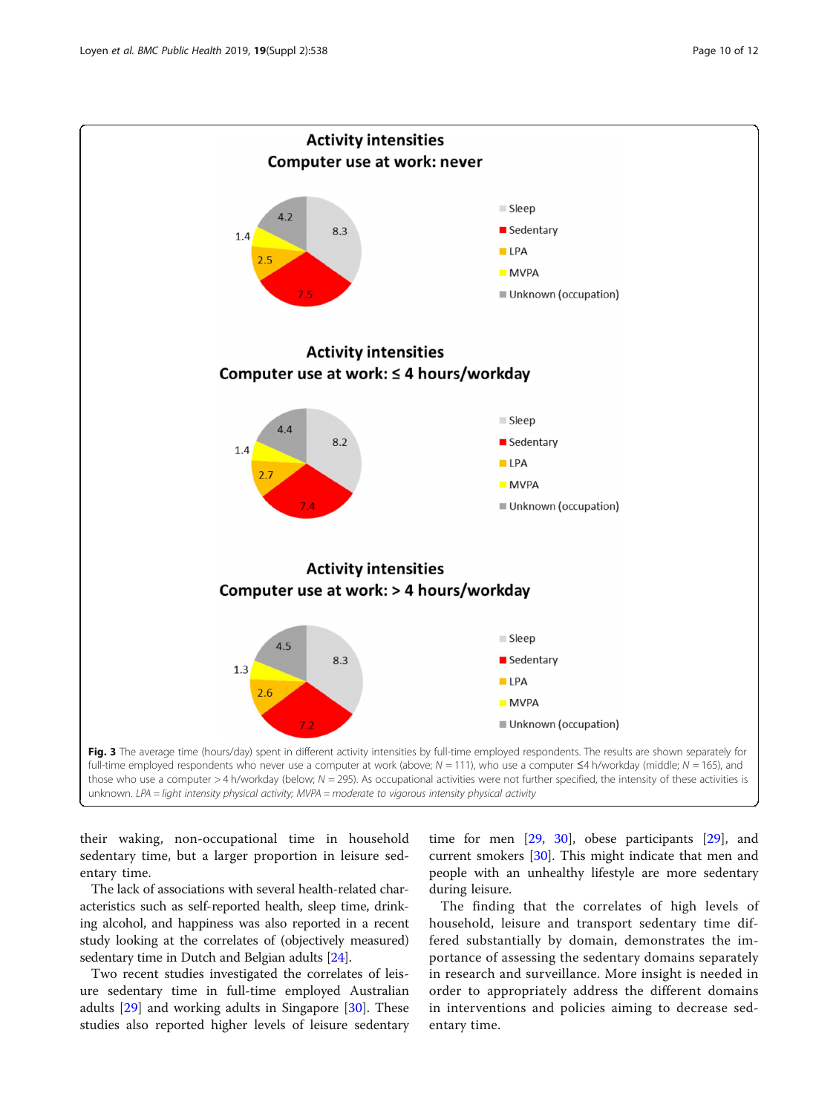<span id="page-9-0"></span>

their waking, non-occupational time in household sedentary time, but a larger proportion in leisure sedentary time.

The lack of associations with several health-related characteristics such as self-reported health, sleep time, drinking alcohol, and happiness was also reported in a recent study looking at the correlates of (objectively measured) sedentary time in Dutch and Belgian adults [\[24\]](#page-11-0).

Two recent studies investigated the correlates of leisure sedentary time in full-time employed Australian adults [\[29\]](#page-11-0) and working adults in Singapore [\[30](#page-11-0)]. These studies also reported higher levels of leisure sedentary

time for men [\[29,](#page-11-0) [30](#page-11-0)], obese participants [[29\]](#page-11-0), and current smokers [[30\]](#page-11-0). This might indicate that men and people with an unhealthy lifestyle are more sedentary during leisure.

The finding that the correlates of high levels of household, leisure and transport sedentary time differed substantially by domain, demonstrates the importance of assessing the sedentary domains separately in research and surveillance. More insight is needed in order to appropriately address the different domains in interventions and policies aiming to decrease sedentary time.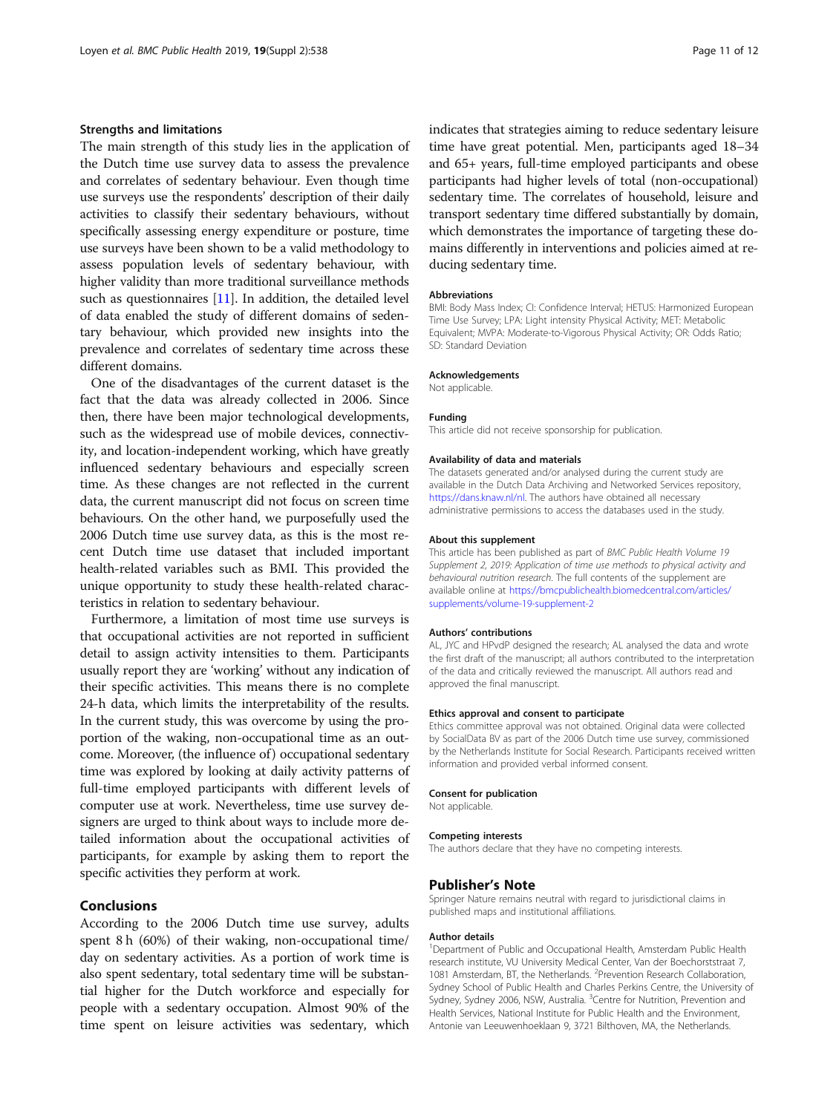#### Strengths and limitations

The main strength of this study lies in the application of the Dutch time use survey data to assess the prevalence and correlates of sedentary behaviour. Even though time use surveys use the respondents' description of their daily activities to classify their sedentary behaviours, without specifically assessing energy expenditure or posture, time use surveys have been shown to be a valid methodology to assess population levels of sedentary behaviour, with higher validity than more traditional surveillance methods such as questionnaires [\[11\]](#page-11-0). In addition, the detailed level of data enabled the study of different domains of sedentary behaviour, which provided new insights into the prevalence and correlates of sedentary time across these different domains.

One of the disadvantages of the current dataset is the fact that the data was already collected in 2006. Since then, there have been major technological developments, such as the widespread use of mobile devices, connectivity, and location-independent working, which have greatly influenced sedentary behaviours and especially screen time. As these changes are not reflected in the current data, the current manuscript did not focus on screen time behaviours. On the other hand, we purposefully used the 2006 Dutch time use survey data, as this is the most recent Dutch time use dataset that included important health-related variables such as BMI. This provided the unique opportunity to study these health-related characteristics in relation to sedentary behaviour.

Furthermore, a limitation of most time use surveys is that occupational activities are not reported in sufficient detail to assign activity intensities to them. Participants usually report they are 'working' without any indication of their specific activities. This means there is no complete 24-h data, which limits the interpretability of the results. In the current study, this was overcome by using the proportion of the waking, non-occupational time as an outcome. Moreover, (the influence of) occupational sedentary time was explored by looking at daily activity patterns of full-time employed participants with different levels of computer use at work. Nevertheless, time use survey designers are urged to think about ways to include more detailed information about the occupational activities of participants, for example by asking them to report the specific activities they perform at work.

#### Conclusions

According to the 2006 Dutch time use survey, adults spent 8 h (60%) of their waking, non-occupational time/ day on sedentary activities. As a portion of work time is also spent sedentary, total sedentary time will be substantial higher for the Dutch workforce and especially for people with a sedentary occupation. Almost 90% of the time spent on leisure activities was sedentary, which indicates that strategies aiming to reduce sedentary leisure time have great potential. Men, participants aged 18–34 and 65+ years, full-time employed participants and obese participants had higher levels of total (non-occupational) sedentary time. The correlates of household, leisure and transport sedentary time differed substantially by domain, which demonstrates the importance of targeting these domains differently in interventions and policies aimed at reducing sedentary time.

#### Abbreviations

BMI: Body Mass Index; CI: Confidence Interval; HETUS: Harmonized European Time Use Survey; LPA: Light intensity Physical Activity; MET: Metabolic Equivalent; MVPA: Moderate-to-Vigorous Physical Activity; OR: Odds Ratio; SD: Standard Deviation

#### Acknowledgements

Not applicable.

#### Funding

This article did not receive sponsorship for publication.

#### Availability of data and materials

The datasets generated and/or analysed during the current study are available in the Dutch Data Archiving and Networked Services repository, [https://dans.knaw.nl/nl.](https://dans.knaw.nl/nl) The authors have obtained all necessary administrative permissions to access the databases used in the study.

#### About this supplement

This article has been published as part of BMC Public Health Volume 19 Supplement 2, 2019: Application of time use methods to physical activity and behavioural nutrition research. The full contents of the supplement are available online at [https://bmcpublichealth.biomedcentral.com/articles/](https://bmcpublichealth.biomedcentral.com/articles/supplements/volume-19-supplement-2) [supplements/volume-19-supplement-2](https://bmcpublichealth.biomedcentral.com/articles/supplements/volume-19-supplement-2)

#### Authors' contributions

AL, JYC and HPvdP designed the research; AL analysed the data and wrote the first draft of the manuscript; all authors contributed to the interpretation of the data and critically reviewed the manuscript. All authors read and approved the final manuscript.

#### Ethics approval and consent to participate

Ethics committee approval was not obtained. Original data were collected by SocialData BV as part of the 2006 Dutch time use survey, commissioned by the Netherlands Institute for Social Research. Participants received written information and provided verbal informed consent.

#### Consent for publication

Not applicable.

#### Competing interests

The authors declare that they have no competing interests.

#### Publisher's Note

Springer Nature remains neutral with regard to jurisdictional claims in published maps and institutional affiliations.

#### Author details

<sup>1</sup>Department of Public and Occupational Health, Amsterdam Public Health research institute, VU University Medical Center, Van der Boechorststraat 7, 1081 Amsterdam, BT, the Netherlands. <sup>2</sup>Prevention Research Collaboration Sydney School of Public Health and Charles Perkins Centre, the University of Sydney, Sydney 2006, NSW, Australia. <sup>3</sup>Centre for Nutrition, Prevention and Health Services, National Institute for Public Health and the Environment, Antonie van Leeuwenhoeklaan 9, 3721 Bilthoven, MA, the Netherlands.